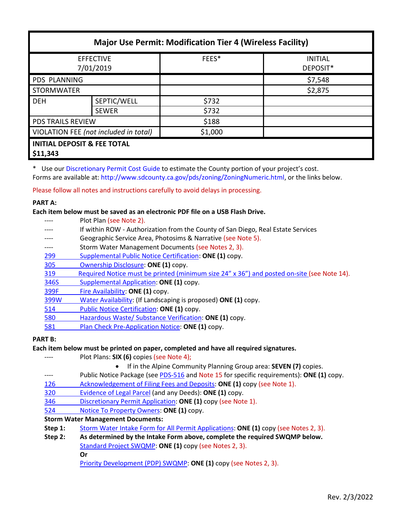| <b>Major Use Permit: Modification Tier 4 (Wireless Facility)</b> |              |         |                            |  |  |
|------------------------------------------------------------------|--------------|---------|----------------------------|--|--|
| <b>EFFECTIVE</b><br>7/01/2019                                    |              | FEES*   | <b>INITIAL</b><br>DEPOSIT* |  |  |
| <b>PDS PLANNING</b>                                              |              |         | \$7,548                    |  |  |
| <b>STORMWATER</b>                                                |              |         | \$2,875                    |  |  |
| <b>DEH</b>                                                       | SEPTIC/WELL  | \$732   |                            |  |  |
|                                                                  | <b>SEWER</b> | \$732   |                            |  |  |
| <b>PDS TRAILS REVIEW</b>                                         |              | \$188   |                            |  |  |
| VIOLATION FEE (not included in total)                            |              | \$1,000 |                            |  |  |
| <b>INITIAL DEPOSIT &amp; FEE TOTAL</b><br>\$11,343               |              |         |                            |  |  |

\* Use our [Discretionary Permit Cost Guide](http://www.sandiegocounty.gov/content/dam/sdc/pds/docs/Discretionary_Permit_Cost_Guide.xlsx) to estimate the County portion of your project's cost. Forms are available at: [http://www.sdcounty.ca.gov/pds/zoning/ZoningNumeric.html,](http://www.sdcounty.ca.gov/pds/zoning/ZoningNumeric.html) or the links below.

Please follow all notes and instructions carefully to avoid delays in processing.

# **PART A:**

## **Each item below must be saved as an electronic PDF file on a USB Flash Drive.**

|      | Plot Plan (see Note 2).                                                                    |
|------|--------------------------------------------------------------------------------------------|
|      | If within ROW - Authorization from the County of San Diego, Real Estate Services           |
|      | Geographic Service Area, Photosims & Narrative (see Note 5).                               |
|      | Storm Water Management Documents (see Notes 2, 3).                                         |
| 299  | Supplemental Public Notice Certification: ONE (1) copy.                                    |
| 305  | Ownership Disclosure: ONE (1) copy.                                                        |
| 319  | Required Notice must be printed (minimum size 24" x 36") and posted on-site (see Note 14). |
| 346S | Supplemental Application: ONE (1) copy.                                                    |
| 399F | Fire Availability: ONE (1) copy.                                                           |
| 399W | Water Availability: (If Landscaping is proposed) ONE (1) copy.                             |
| 514  | Public Notice Certification: ONE (1) copy.                                                 |
| 580  | Hazardous Waste/ Substance Verification: ONE (1) copy.                                     |
| 581  | Plan Check Pre-Application Notice: ONE (1) copy.                                           |
|      |                                                                                            |

## **PART B:**

## **Each item below must be printed on paper, completed and have all required signatures.**

- ---- Plot Plans: **SIX (6)** copies (see Note 4);
	- If in the Alpine Community Planning Group area: **SEVEN (7)** copies.
- ---- Public Notice Package (se[e PDS-516](http://www.sdcounty.ca.gov/pds/zoning/formfields/PDS-PLN-516.pdf) and Note 15 for specific requirements): **ONE (1)** copy.
- [126 Acknowledgement of Filing Fees and Deposits:](http://www.sdcounty.ca.gov/pds/zoning/formfields/PDS-PLN-126.pdf) **ONE (1)** copy (see Note 1).
- [320 Evidence of Legal Parcel](http://www.sdcounty.ca.gov/pds/zoning/formfields/PDS-PLN-320.pdf) (and any Deeds): **ONE (1)** copy.
- 346 [Discretionary Permit Application:](http://www.sdcounty.ca.gov/pds/zoning/formfields/PDS-PLN-346.pdf) **ONE (1)** copy (see Note 1).
- 524 [Notice To Property Owners:](http://www.sdcounty.ca.gov/pds/zoning/formfields/PDS-PLN-524.pdf) **ONE (1)** copy.

## **Storm Water Management Documents:**

- **Step 1:** [Storm Water Intake Form for All Permit](http://www.sandiegocounty.gov/content/dam/sdc/pds/zoning/formfields/SWQMP-Intake-Form.pdf) Applications: **ONE (1)** copy (see Notes 2, 3).
- **Step 2: As determined by the Intake Form above, complete the required SWQMP below.** [Standard Project SWQMP:](http://www.sandiegocounty.gov/content/dam/sdc/pds/zoning/formfields/SWQMP-Standard.pdf) **ONE (1)** copy (see Notes 2, 3). **Or** [Priority Development \(PDP\) SWQMP:](https://www.sandiegocounty.gov/content/sdc/dpw/watersheds/DevelopmentandConstruction/BMP_Design_Manual.html) **ONE (1)** copy (see Notes 2, 3).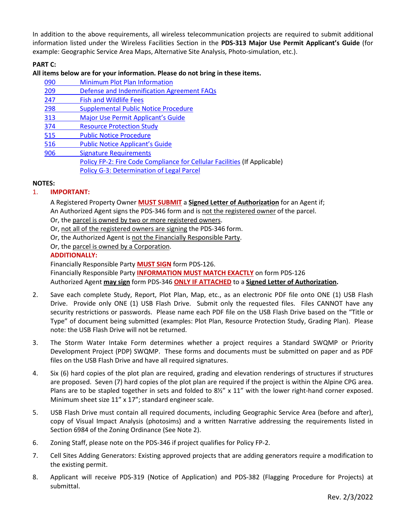In addition to the above requirements, all wireless telecommunication projects are required to submit additional information listed under the Wireless Facilities Section in the **PDS-313 Major Use Permit Applicant's Guide** (for example: Geographic Service Area Maps, Alternative Site Analysis, Photo-simulation, etc.).

# **PART C:**

## **All items below are for your information. Please do not bring in these items.**

| 090 | <b>Minimum Plot Plan Information</b>                                      |
|-----|---------------------------------------------------------------------------|
| 209 | Defense and Indemnification Agreement FAQs                                |
| 247 | <b>Fish and Wildlife Fees</b>                                             |
| 298 | <b>Supplemental Public Notice Procedure</b>                               |
| 313 | Major Use Permit Applicant's Guide                                        |
| 374 | <b>Resource Protection Study</b>                                          |
| 515 | <b>Public Notice Procedure</b>                                            |
| 516 | <b>Public Notice Applicant's Guide</b>                                    |
| 906 | <b>Signature Requirements</b>                                             |
|     | Policy FP-2: Fire Code Compliance for Cellular Facilities (If Applicable) |
|     | Policy G-3: Determination of Legal Parcel                                 |

# **NOTES:**

# 1. **IMPORTANT:**

A Registered Property Owner **MUST SUBMIT** a **Signed Letter of Authorization** for an Agent if; An Authorized Agent signs the PDS-346 form and is not the registered owner of the parcel.

Or, the parcel is owned by two or more registered owners.

Or, not all of the registered owners are signing the PDS-346 form.

Or, the Authorized Agent is not the Financially Responsible Party.

Or, the parcel is owned by a Corporation.

# **ADDITIONALLY:**

Financially Responsible Party **MUST SIGN** form PDS-126.

Financially Responsible Party **INFORMATION MUST MATCH EXACTLY** on form PDS-126 Authorized Agent **may sign** form PDS-346 **ONLY IF ATTACHED** to a **Signed Letter of Authorization.**

- 2. Save each complete Study, Report, Plot Plan, Map, etc., as an electronic PDF file onto ONE (1) USB Flash Drive. Provide only ONE (1) USB Flash Drive. Submit only the requested files. Files CANNOT have any security restrictions or passwords. Please name each PDF file on the USB Flash Drive based on the "Title or Type" of document being submitted (examples: Plot Plan, Resource Protection Study, Grading Plan). Please note: the USB Flash Drive will not be returned.
- 3. The Storm Water Intake Form determines whether a project requires a Standard SWQMP or Priority Development Project (PDP) SWQMP. These forms and documents must be submitted on paper and as PDF files on the USB Flash Drive and have all required signatures.
- 4. Six (6) hard copies of the plot plan are required, grading and elevation renderings of structures if structures are proposed. Seven (7) hard copies of the plot plan are required if the project is within the Alpine CPG area. Plans are to be stapled together in sets and folded to  $8\frac{1}{2}$  x 11" with the lower right-hand corner exposed. Minimum sheet size 11" x 17"; standard engineer scale.
- 5. USB Flash Drive must contain all required documents, including Geographic Service Area (before and after), copy of Visual Impact Analysis (photosims) and a written Narrative addressing the requirements listed in Section 6984 of the Zoning Ordinance (See Note 2).
- 6. Zoning Staff, please note on the PDS-346 if project qualifies for Policy FP-2.
- 7. Cell Sites Adding Generators: Existing approved projects that are adding generators require a modification to the existing permit.
- 8. Applicant will receive PDS-319 (Notice of Application) and PDS-382 (Flagging Procedure for Projects) at submittal.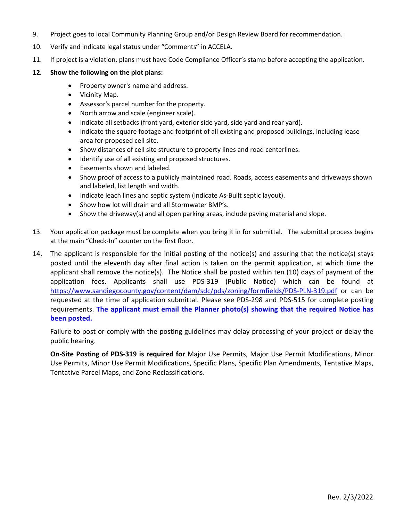- 9. Project goes to local Community Planning Group and/or Design Review Board for recommendation.
- 10. Verify and indicate legal status under "Comments" in ACCELA.
- 11. If project is a violation, plans must have Code Compliance Officer's stamp before accepting the application.

## **12. Show the following on the plot plans:**

- Property owner's name and address.
- Vicinity Map.
- Assessor's parcel number for the property.
- North arrow and scale (engineer scale).
- Indicate all setbacks (front yard, exterior side yard, side yard and rear yard).
- Indicate the square footage and footprint of all existing and proposed buildings, including lease area for proposed cell site.
- Show distances of cell site structure to property lines and road centerlines.
- Identify use of all existing and proposed structures.
- Easements shown and labeled.
- Show proof of access to a publicly maintained road. Roads, access easements and driveways shown and labeled, list length and width.
- Indicate leach lines and septic system (indicate As-Built septic layout).
- Show how lot will drain and all Stormwater BMP's.
- Show the driveway(s) and all open parking areas, include paving material and slope.
- 13. Your application package must be complete when you bring it in for submittal. The submittal process begins at the main "Check-In" counter on the first floor.
- 14. The applicant is responsible for the initial posting of the notice(s) and assuring that the notice(s) stays posted until the eleventh day after final action is taken on the permit application, at which time the applicant shall remove the notice(s). The Notice shall be posted within ten (10) days of payment of the application fees. Applicants shall use PDS-319 (Public Notice) which can be found at <https://www.sandiegocounty.gov/content/dam/sdc/pds/zoning/formfields/PDS-PLN-319.pdf> or can be requested at the time of application submittal. Please see PDS-298 and PDS-515 for complete posting requirements. **The applicant must email the Planner photo(s) showing that the required Notice has been posted.**

Failure to post or comply with the posting guidelines may delay processing of your project or delay the public hearing.

**On-Site Posting of PDS-319 is required for** Major Use Permits, Major Use Permit Modifications, Minor Use Permits, Minor Use Permit Modifications, Specific Plans, Specific Plan Amendments, Tentative Maps, Tentative Parcel Maps, and Zone Reclassifications.